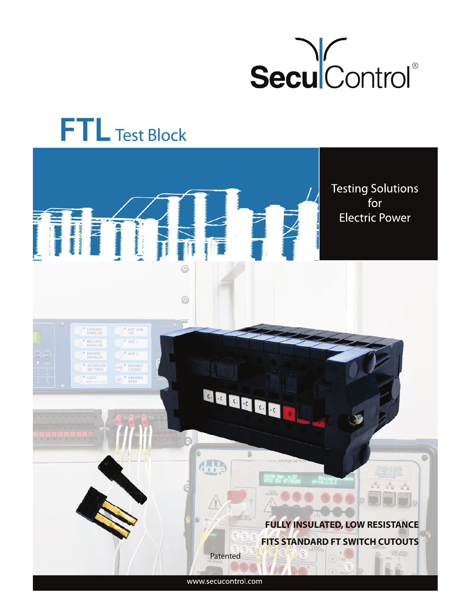

# **FTL** Test Block